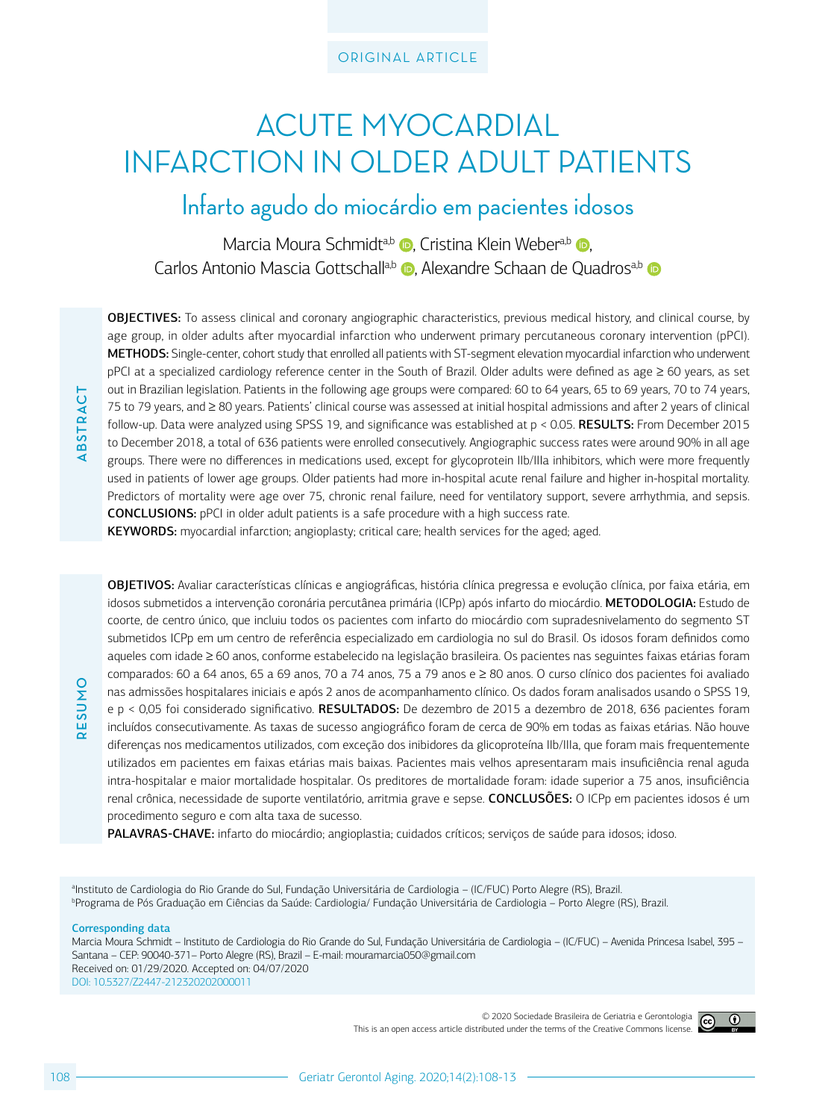### ORIGINAL ARTICLE

# ACUTE MYOCARDIAL INFARCTION IN OLDER ADULT PATIENTS

Infarto agudo do miocárdio em pacientes idosos

Marcia Moura Schmidt<sup>a[,](http://orcid.org/0000-0002-5411-9328)b</sup> **D**[,](http://orcid.org/0000-0003-2823-5365) Cristina Klein Weber<sup>a,b</sup> D, Carlos Antonio Mascia Gottschall<sup>a,b</sup> D[,](http://orcid.org/0000-0003-0608-7314) Alexandre Schaan de Quadros<sup>a,b</sup> D

OBJECTIVES: To assess clinical and coronary angiographic characteristics, previous medical history, and clinical course, by age group, in older adults after myocardial infarction who underwent primary percutaneous coronary intervention (pPCI). METHODS: Single-center, cohort study that enrolled all patients with ST-segment elevation myocardial infarction who underwent pPCI at a specialized cardiology reference center in the South of Brazil. Older adults were defined as age ≥ 60 years, as set out in Brazilian legislation. Patients in the following age groups were compared: 60 to 64 years, 65 to 69 years, 70 to 74 years, 75 to 79 years, and ≥ 80 years. Patients' clinical course was assessed at initial hospital admissions and after 2 years of clinical follow-up. Data were analyzed using SPSS 19, and significance was established at p < 0.05. RESULTS: From December 2015 to December 2018, a total of 636 patients were enrolled consecutively. Angiographic success rates were around 90% in all age groups. There were no differences in medications used, except for glycoprotein IIb/IIIa inhibitors, which were more frequently used in patients of lower age groups. Older patients had more in-hospital acute renal failure and higher in-hospital mortality. Predictors of mortality were age over 75, chronic renal failure, need for ventilatory support, severe arrhythmia, and sepsis. CONCLUSIONS: pPCI in older adult patients is a safe procedure with a high success rate.

KEYWORDS: myocardial infarction; angioplasty; critical care; health services for the aged; aged.

OBJETIVOS: Avaliar características clínicas e angiográficas, história clínica pregressa e evolução clínica, por faixa etária, em idosos submetidos a intervenção coronária percutânea primária (ICPp) após infarto do miocárdio. METODOLOGIA: Estudo de coorte, de centro único, que incluiu todos os pacientes com infarto do miocárdio com supradesnivelamento do segmento ST submetidos ICPp em um centro de referência especializado em cardiologia no sul do Brasil. Os idosos foram definidos como aqueles com idade ≥ 60 anos, conforme estabelecido na legislação brasileira. Os pacientes nas seguintes faixas etárias foram comparados: 60 a 64 anos, 65 a 69 anos, 70 a 74 anos, 75 a 79 anos e ≥ 80 anos. O curso clínico dos pacientes foi avaliado nas admissões hospitalares iniciais e após 2 anos de acompanhamento clínico. Os dados foram analisados usando o SPSS 19, e p < 0,05 foi considerado significativo. RESULTADOS: De dezembro de 2015 a dezembro de 2018, 636 pacientes foram incluídos consecutivamente. As taxas de sucesso angiográfico foram de cerca de 90% em todas as faixas etárias. Não houve diferenças nos medicamentos utilizados, com exceção dos inibidores da glicoproteína IIb/IIIa, que foram mais frequentemente utilizados em pacientes em faixas etárias mais baixas. Pacientes mais velhos apresentaram mais insuficiência renal aguda intra-hospitalar e maior mortalidade hospitalar. Os preditores de mortalidade foram: idade superior a 75 anos, insuficiência renal crônica, necessidade de suporte ventilatório, arritmia grave e sepse. CONCLUSÕES: O ICPp em pacientes idosos é um procedimento seguro e com alta taxa de sucesso.

PALAVRAS-CHAVE: infarto do miocárdio; angioplastia; cuidados críticos; serviços de saúde para idosos; idoso.

a Instituto de Cardiologia do Rio Grande do Sul, Fundação Universitária de Cardiologia – (IC/FUC) Porto Alegre (RS), Brazil. b Programa de Pós Graduação em Ciências da Saúde: Cardiologia/ Fundação Universitária de Cardiologia – Porto Alegre (RS), Brazil.

#### Corresponding data

**RESUMO**

**PHIDS31** 

**ABSTRACT**

**BSTRACT** 

Marcia Moura Schmidt – Instituto de Cardiologia do Rio Grande do Sul, Fundação Universitária de Cardiologia – (IC/FUC) – Avenida Princesa Isabel, 395 – Santana – CEP: 90040-371– Porto Alegre (RS), Brazil – E-mail: mouramarcia050@gmail.com Received on: 01/29/2020. Accepted on: 04/07/2020 DOI: 10.5327/Z2447-212320202000011

> © 2020 Sociedade Brasileira de Geriatria e Gerontologia This is an open access article distributed under the terms of the Creative Commons license.

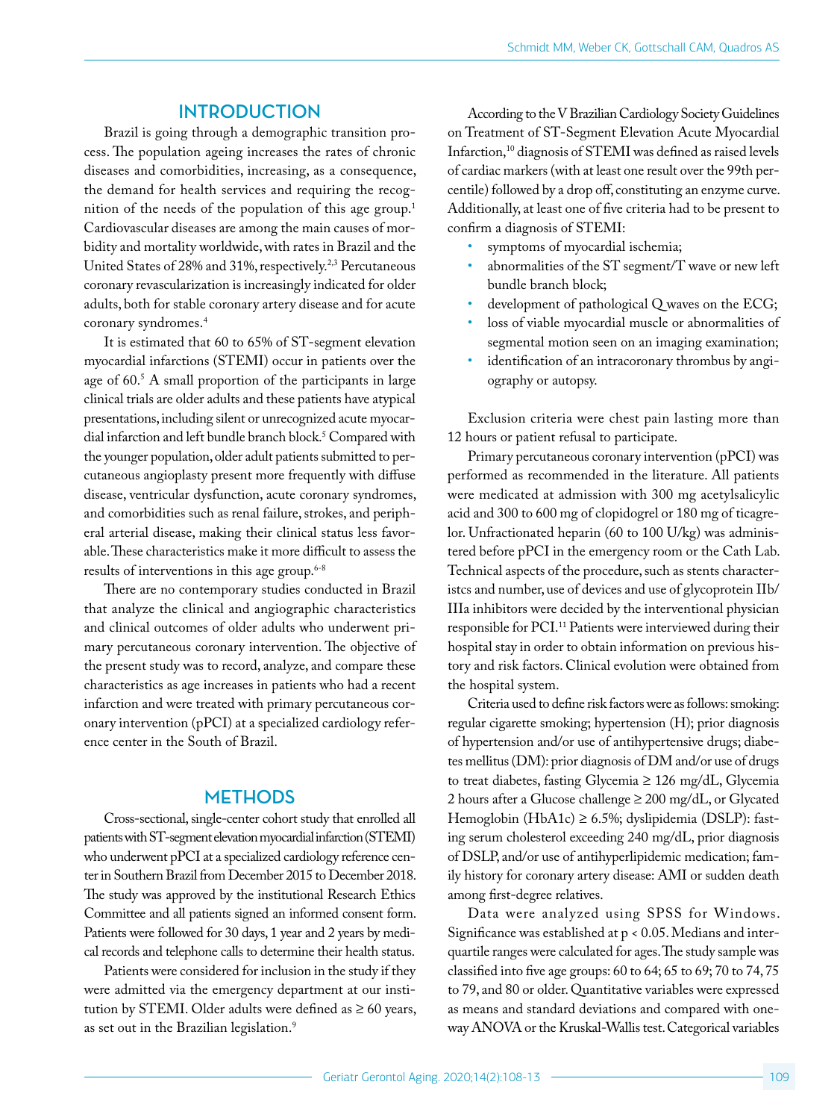## **INTRODUCTION**

Brazil is going through a demographic transition process. The population ageing increases the rates of chronic diseases and comorbidities, increasing, as a consequence, the demand for health services and requiring the recognition of the needs of the population of this age group.<sup>1</sup> Cardiovascular diseases are among the main causes of morbidity and mortality worldwide, with rates in Brazil and the United States of 28% and 31%, respectively.<sup>2,3</sup> Percutaneous coronary revascularization is increasingly indicated for older adults, both for stable coronary artery disease and for acute coronary syndromes.4

It is estimated that 60 to 65% of ST-segment elevation myocardial infarctions (STEMI) occur in patients over the age of 60.<sup>5</sup> A small proportion of the participants in large clinical trials are older adults and these patients have atypical presentations, including silent or unrecognized acute myocardial infarction and left bundle branch block.5 Compared with the younger population, older adult patients submitted to percutaneous angioplasty present more frequently with diffuse disease, ventricular dysfunction, acute coronary syndromes, and comorbidities such as renal failure, strokes, and peripheral arterial disease, making their clinical status less favorable. These characteristics make it more difficult to assess the results of interventions in this age group.<sup>6-8</sup>

There are no contemporary studies conducted in Brazil that analyze the clinical and angiographic characteristics and clinical outcomes of older adults who underwent primary percutaneous coronary intervention. The objective of the present study was to record, analyze, and compare these characteristics as age increases in patients who had a recent infarction and were treated with primary percutaneous coronary intervention (pPCI) at a specialized cardiology reference center in the South of Brazil.

#### **METHODS**

Cross-sectional, single-center cohort study that enrolled all patients with ST-segment elevation myocardial infarction (STEMI) who underwent pPCI at a specialized cardiology reference center in Southern Brazil from December 2015 to December 2018. The study was approved by the institutional Research Ethics Committee and all patients signed an informed consent form. Patients were followed for 30 days, 1 year and 2 years by medical records and telephone calls to determine their health status.

Patients were considered for inclusion in the study if they were admitted via the emergency department at our institution by STEMI. Older adults were defined as  $\geq 60$  years, as set out in the Brazilian legislation.<sup>9</sup>

According to the V Brazilian Cardiology Society Guidelines on Treatment of ST-Segment Elevation Acute Myocardial Infarction,<sup>10</sup> diagnosis of STEMI was defined as raised levels of cardiac markers (with at least one result over the 99th percentile) followed by a drop off, constituting an enzyme curve. Additionally, at least one of five criteria had to be present to confirm a diagnosis of STEMI:

- symptoms of myocardial ischemia;
- abnormalities of the ST segment/T wave or new left bundle branch block;
- development of pathological Q waves on the ECG;
- loss of viable myocardial muscle or abnormalities of segmental motion seen on an imaging examination;
- identification of an intracoronary thrombus by angiography or autopsy.

Exclusion criteria were chest pain lasting more than 12 hours or patient refusal to participate.

Primary percutaneous coronary intervention (pPCI) was performed as recommended in the literature. All patients were medicated at admission with 300 mg acetylsalicylic acid and 300 to 600 mg of clopidogrel or 180 mg of ticagrelor. Unfractionated heparin (60 to 100 U/kg) was administered before pPCI in the emergency room or the Cath Lab. Technical aspects of the procedure, such as stents characteristcs and number, use of devices and use of glycoprotein IIb/ IIIa inhibitors were decided by the interventional physician responsible for PCI.<sup>11</sup> Patients were interviewed during their hospital stay in order to obtain information on previous history and risk factors. Clinical evolution were obtained from the hospital system.

Criteria used to define risk factors were as follows: smoking: regular cigarette smoking; hypertension (H); prior diagnosis of hypertension and/or use of antihypertensive drugs; diabetes mellitus (DM): prior diagnosis of DM and/or use of drugs to treat diabetes, fasting Glycemia ≥ 126 mg/dL, Glycemia 2 hours after a Glucose challenge ≥ 200 mg/dL, or Glycated Hemoglobin (HbA1c) ≥ 6.5%; dyslipidemia (DSLP): fasting serum cholesterol exceeding 240 mg/dL, prior diagnosis of DSLP, and/or use of antihyperlipidemic medication; family history for coronary artery disease: AMI or sudden death among first-degree relatives.

Data were analyzed using SPSS for Windows. Significance was established at p < 0.05. Medians and interquartile ranges were calculated for ages. The study sample was classified into five age groups: 60 to 64; 65 to 69; 70 to 74, 75 to 79, and 80 or older. Quantitative variables were expressed as means and standard deviations and compared with oneway ANOVA or the Kruskal-Wallis test. Categorical variables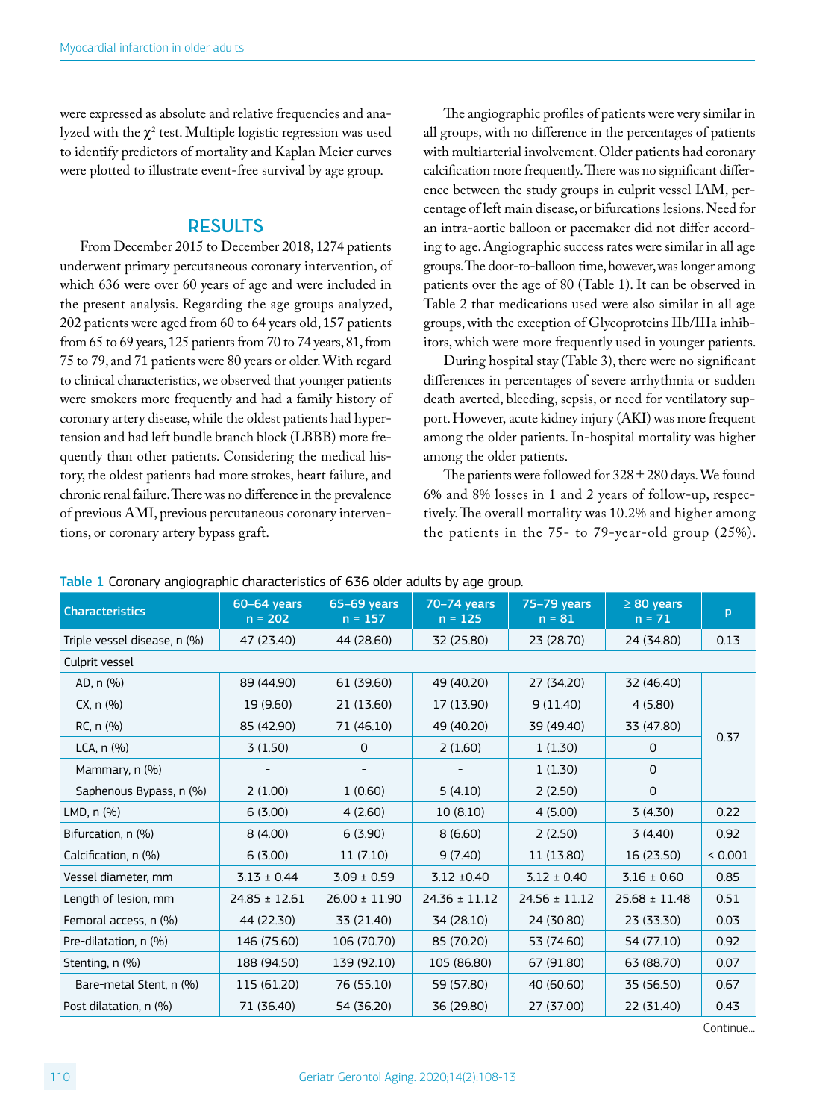were expressed as absolute and relative frequencies and analyzed with the  $\chi^2$  test. Multiple logistic regression was used to identify predictors of mortality and Kaplan Meier curves were plotted to illustrate event-free survival by age group.

## **RESULTS**

From December 2015 to December 2018, 1274 patients underwent primary percutaneous coronary intervention, of which 636 were over 60 years of age and were included in the present analysis. Regarding the age groups analyzed, 202 patients were aged from 60 to 64 years old, 157 patients from 65 to 69 years, 125 patients from 70 to 74 years, 81, from 75 to 79, and 71 patients were 80 years or older. With regard to clinical characteristics, we observed that younger patients were smokers more frequently and had a family history of coronary artery disease, while the oldest patients had hypertension and had left bundle branch block (LBBB) more frequently than other patients. Considering the medical history, the oldest patients had more strokes, heart failure, and chronic renal failure. There was no difference in the prevalence of previous AMI, previous percutaneous coronary interventions, or coronary artery bypass graft.

The angiographic profiles of patients were very similar in all groups, with no difference in the percentages of patients with multiarterial involvement. Older patients had coronary calcification more frequently. There was no significant difference between the study groups in culprit vessel IAM, percentage of left main disease, or bifurcations lesions. Need for an intra-aortic balloon or pacemaker did not differ according to age. Angiographic success rates were similar in all age groups. The door-to-balloon time, however, was longer among patients over the age of 80 (Table 1). It can be observed in Table 2 that medications used were also similar in all age groups, with the exception of Glycoproteins IIb/IIIa inhibitors, which were more frequently used in younger patients.

During hospital stay (Table 3), there were no significant differences in percentages of severe arrhythmia or sudden death averted, bleeding, sepsis, or need for ventilatory support. However, acute kidney injury (AKI) was more frequent among the older patients. In-hospital mortality was higher among the older patients.

The patients were followed for  $328 \pm 280$  days. We found 6% and 8% losses in 1 and 2 years of follow-up, respectively. The overall mortality was 10.2% and higher among the patients in the 75- to 79-year-old group (25%).

| <b>Characteristics</b>       | 60-64 years<br>$n = 202$ | 65-69 years<br>$n = 157$ | 70-74 years<br>$n = 125$ | <b>75-79 years</b><br>$n = 81$ | $\geq 80$ years<br>$n = 71$ | p       |
|------------------------------|--------------------------|--------------------------|--------------------------|--------------------------------|-----------------------------|---------|
| Triple vessel disease, n (%) | 47 (23.40)               | 44 (28.60)               | 32 (25.80)               | 23 (28.70)                     | 24 (34.80)                  | 0.13    |
| Culprit vessel               |                          |                          |                          |                                |                             |         |
| AD, n (%)                    | 89 (44.90)               | 61 (39.60)               | 49 (40.20)               | 27 (34.20)                     | 32 (46.40)                  |         |
| CX, n (%)                    | 19 (9.60)                | 21 (13.60)               | 17 (13.90)               | 9(11.40)                       | 4(5.80)                     |         |
| RC, n (%)                    | 85 (42.90)               | 71 (46.10)               | 49 (40.20)               | 39 (49.40)                     | 33 (47.80)                  | 0.37    |
| LCA, $n$ $(\%)$              | 3(1.50)                  | 0                        | 2(1.60)                  | 1(1.30)                        | 0                           |         |
| Mammary, n (%)               |                          |                          |                          | 1(1.30)                        | 0                           |         |
| Saphenous Bypass, n (%)      | 2(1.00)                  | 1(0.60)                  | 5(4.10)                  | 2(2.50)                        | $\mathsf{O}$                |         |
| LMD, $n$ $(\%)$              | 6(3.00)                  | 4(2.60)                  | 10(8.10)                 | 4(5.00)                        | 3(4.30)                     | 0.22    |
| Bifurcation, n (%)           | 8(4.00)                  | 6(3.90)                  | 8(6.60)                  | 2(2.50)                        | 3(4.40)                     | 0.92    |
| Calcification, n (%)         | 6(3.00)                  | 11(7.10)                 | 9(7.40)                  | 11 (13.80)                     | 16 (23.50)                  | < 0.001 |
| Vessel diameter, mm          | $3.13 \pm 0.44$          | $3.09 \pm 0.59$          | $3.12 \pm 0.40$          | $3.12 \pm 0.40$                | $3.16 \pm 0.60$             | 0.85    |
| Length of lesion, mm         | $24.85 \pm 12.61$        | $26.00 \pm 11.90$        | $24.36 \pm 11.12$        | $24.56 \pm 11.12$              | $25.68 \pm 11.48$           | 0.51    |
| Femoral access, n (%)        | 44 (22.30)               | 33 (21.40)               | 34 (28.10)               | 24 (30.80)                     | 23 (33.30)                  | 0.03    |
| Pre-dilatation, n (%)        | 146 (75.60)              | 106 (70.70)              | 85 (70.20)               | 53 (74.60)                     | 54 (77.10)                  | 0.92    |
| Stenting, n (%)              | 188 (94.50)              | 139 (92.10)              | 105 (86.80)              | 67 (91.80)                     | 63 (88.70)                  | 0.07    |
| Bare-metal Stent, n (%)      | 115 (61.20)              | 76 (55.10)               | 59 (57.80)               | 40 (60.60)                     | 35 (56.50)                  | 0.67    |
| Post dilatation, n (%)       | 71 (36.40)               | 54 (36.20)               | 36 (29.80)               | 27 (37.00)                     | 22 (31.40)                  | 0.43    |

Table 1 Coronary angiographic characteristics of 636 older adults by age group.

Continue...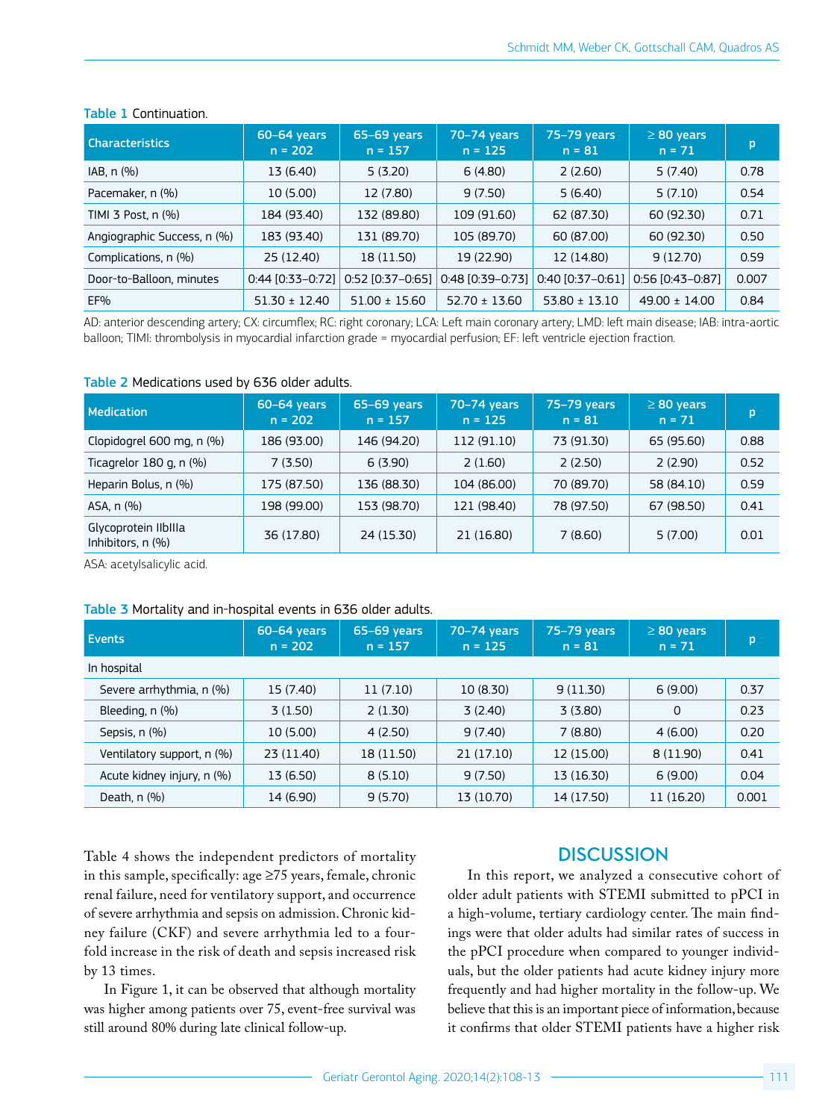| <b>Characteristics</b>      | 60-64 years<br>$n = 202$ | 65-69 years<br>$n = 157$ | 70-74 years<br>$n = 125$ | 75-79 years<br>$n = 81$ | $\geq 80$ years<br>$n = 71$ | p     |
|-----------------------------|--------------------------|--------------------------|--------------------------|-------------------------|-----------------------------|-------|
| IAB, n (%)                  | 13 (6.40)                | 5(3.20)                  | 6(4.80)                  | 2(2.60)                 | 5(7.40)                     | 0.78  |
| Pacemaker, n (%)            | 10 (5.00)                | 12 (7.80)                | 9(7.50)                  | 5(6.40)                 | 5(7.10)                     | 0.54  |
| TIMI 3 Post, n (%)          | 184 (93.40)              | 132 (89.80)              | 109 (91.60)              | 62 (87.30)              | 60 (92.30)                  | 0.71  |
| Angiographic Success, n (%) | 183 (93.40)              | 131 (89.70)              | 105 (89.70)              | 60 (87.00)              | 60 (92.30)                  | 0.50  |
| Complications, n (%)        | 25 (12.40)               | 18 (11.50)               | 19 (22.90)               | 12 (14.80)              | 9(12.70)                    | 0.59  |
| Door-to-Balloon, minutes    | $0:44$ [0:33-0:72]       | $0.52$ [0.37-0.65]       | $0:48$ [0:39-0:73]       | $0.40$ [0.37-0.61]      | $0.56$ [0.43-0.87]          | 0.007 |
| EF%                         | $51.30 \pm 12.40$        | $51.00 \pm 15.60$        | $52.70 \pm 13.60$        | $53.80 \pm 13.10$       | $49.00 \pm 14.00$           | 0.84  |

#### Table 1 Continuation.

AD: anterior descending artery; CX: circumflex; RC: right coronary; LCA: Left main coronary artery; LMD: left main disease; IAB: intra-aortic balloon; TIMI: thrombolysis in myocardial infarction grade = myocardial perfusion; EF: left ventricle ejection fraction.

#### Table 2 Medications used by 636 older adults.

| <b>Medication</b>                         | 60-64 years<br>$n = 202$ | 65-69 years<br>$n = 157$ | 70-74 years<br>$n = 125$ | 75-79 years<br>$n = 81$ | $\geq 80$ years<br>$n = 71$ | p    |
|-------------------------------------------|--------------------------|--------------------------|--------------------------|-------------------------|-----------------------------|------|
| Clopidogrel 600 mg, n (%)                 | 186 (93.00)              | 146 (94.20)              | 112 (91.10)              | 73 (91.30)              | 65 (95.60)                  | 0.88 |
| Ticagrelor 180 g, n (%)                   | 7(3.50)                  | 6(3.90)                  | 2(1.60)                  | 2(2.50)                 | 2(2.90)                     | 0.52 |
| Heparin Bolus, n (%)                      | 175 (87.50)              | 136 (88.30)              | 104 (86.00)              | 70 (89.70)              | 58 (84.10)                  | 0.59 |
| ASA, n (%)                                | 198 (99.00)              | 153 (98.70)              | 121 (98.40)              | 78 (97.50)              | 67 (98.50)                  | 0.41 |
| Glycoprotein IIbIIIa<br>Inhibitors, n (%) | 36 (17.80)               | 24 (15.30)               | 21 (16.80)               | 7 (8.60)                | 5(7.00)                     | 0.01 |

ASA: acetylsalicylic acid.

#### Table 3 Mortality and in-hospital events in 636 older adults.

| <b>Events</b>              | 60-64 years<br>$n = 202$ | 65-69 years<br>$n = 157$ | 70-74 years<br>$n = 125$ | 75-79 years<br>$n = 81$ | $\geq 80$ years<br>$n = 71$ | p     |
|----------------------------|--------------------------|--------------------------|--------------------------|-------------------------|-----------------------------|-------|
| In hospital                |                          |                          |                          |                         |                             |       |
| Severe arrhythmia, n (%)   | 15 (7.40)                | 11(7.10)                 | 10 (8.30)                | 9(11.30)                | 6(9.00)                     | 0.37  |
| Bleeding, n (%)            | 3(1.50)                  | 2(1.30)                  | 3(2.40)                  | 3(3.80)                 | $\mathbf 0$                 | 0.23  |
| Sepsis, n (%)              | 10 (5.00)                | 4(2.50)                  | 9(7.40)                  | 7(8.80)                 | 4(6.00)                     | 0.20  |
| Ventilatory support, n (%) | 23 (11.40)               | 18 (11.50)               | 21 (17.10)               | 12 (15.00)              | 8(11.90)                    | 0.41  |
| Acute kidney injury, n (%) | 13 (6.50)                | 8(5.10)                  | 9(7.50)                  | 13 (16.30)              | 6(9.00)                     | 0.04  |
| Death, $n$ $(\%)$          | 14 (6.90)                | 9(5.70)                  | 13 (10.70)               | 14 (17.50)              | 11 (16.20)                  | 0.001 |

Table 4 shows the independent predictors of mortality in this sample, specifically: age ≥75 years, female, chronic renal failure, need for ventilatory support, and occurrence of severe arrhythmia and sepsis on admission. Chronic kidney failure (CKF) and severe arrhythmia led to a fourfold increase in the risk of death and sepsis increased risk by 13 times.

In Figure 1, it can be observed that although mortality was higher among patients over 75, event-free survival was still around 80% during late clinical follow-up.

## **DISCUSSION**

In this report, we analyzed a consecutive cohort of older adult patients with STEMI submitted to pPCI in a high-volume, tertiary cardiology center. The main findings were that older adults had similar rates of success in the pPCI procedure when compared to younger individuals, but the older patients had acute kidney injury more frequently and had higher mortality in the follow-up. We believe that this is an important piece of information, because it confirms that older STEMI patients have a higher risk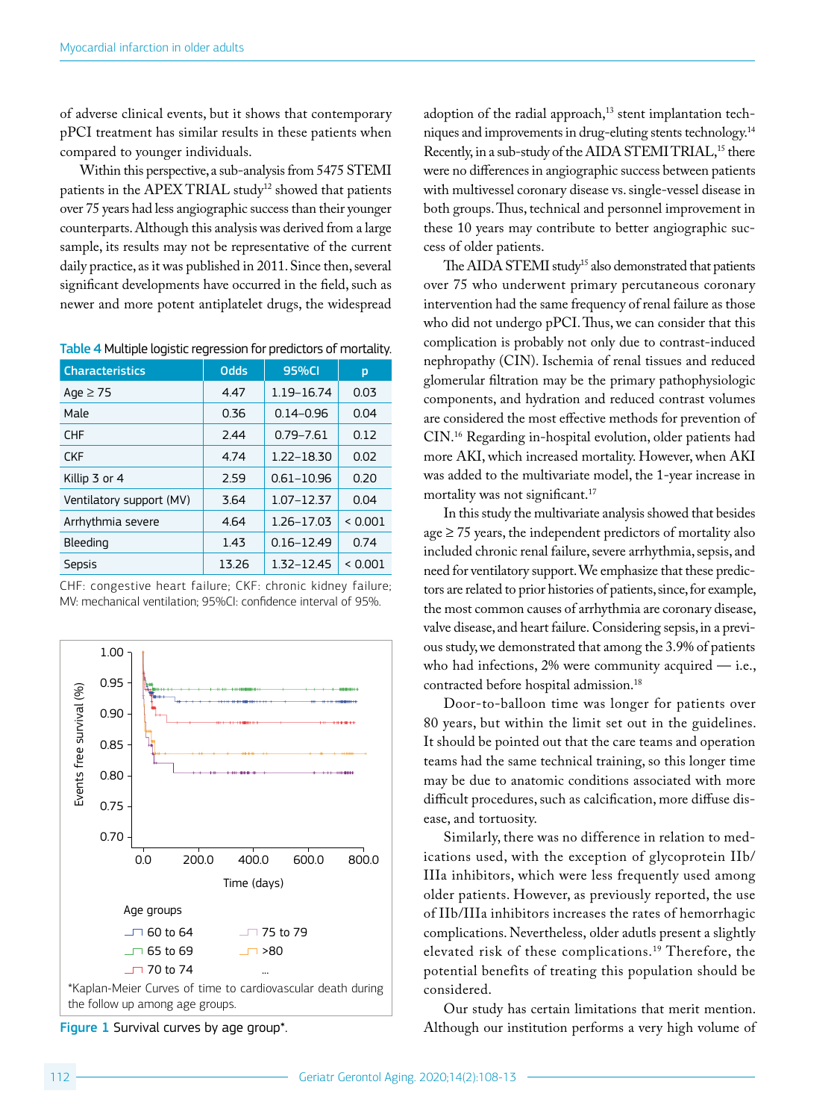of adverse clinical events, but it shows that contemporary pPCI treatment has similar results in these patients when compared to younger individuals.

Within this perspective, a sub-analysis from 5475 STEMI patients in the APEX TRIAL study<sup>12</sup> showed that patients over 75 years had less angiographic success than their younger counterparts. Although this analysis was derived from a large sample, its results may not be representative of the current daily practice, as it was published in 2011. Since then, several significant developments have occurred in the field, such as newer and more potent antiplatelet drugs, the widespread

Table 4 Multiple logistic regression for predictors of mortality.

| <b>Characteristics</b>   | <b>Odds</b> | 95%CI          | р       |
|--------------------------|-------------|----------------|---------|
| Age $\geq$ 75            | 4.47        | 1.19-16.74     | 0.03    |
| Male                     | 0.36        | $0.14 - 0.96$  | 0.04    |
| <b>CHF</b>               | 244         | 0.79-7.61      | 0.12    |
| <b>CKF</b>               | 4.74        | 1.22-18.30     | 0.02    |
| Killip 3 or 4            | 2.59        | 0.61-10.96     | 0.20    |
| Ventilatory support (MV) | 3.64        | 1.07-12.37     | 0.04    |
| Arrhythmia severe        | 4.64        | 1.26-17.03     | < 0.001 |
| Bleeding                 | 1.43        | $0.16 - 12.49$ | 0.74    |
| Sepsis                   | 13.26       | 1.32-12.45     | < 0.001 |

CHF: congestive heart failure; CKF: chronic kidney failure; MV: mechanical ventilation; 95%CI: confidence interval of 95%.



Figure 1 Survival curves by age group\*.

adoption of the radial approach,<sup>13</sup> stent implantation techniques and improvements in drug-eluting stents technology.14 Recently, in a sub-study of the AIDA STEMI TRIAL,<sup>15</sup> there were no differences in angiographic success between patients with multivessel coronary disease vs. single-vessel disease in both groups. Thus, technical and personnel improvement in these 10 years may contribute to better angiographic success of older patients.

The AIDA STEMI study<sup>15</sup> also demonstrated that patients over 75 who underwent primary percutaneous coronary intervention had the same frequency of renal failure as those who did not undergo pPCI. Thus, we can consider that this complication is probably not only due to contrast-induced nephropathy (CIN). Ischemia of renal tissues and reduced glomerular filtration may be the primary pathophysiologic components, and hydration and reduced contrast volumes are considered the most effective methods for prevention of CIN.16 Regarding in-hospital evolution, older patients had more AKI, which increased mortality. However, when AKI was added to the multivariate model, the 1-year increase in mortality was not significant.<sup>17</sup>

In this study the multivariate analysis showed that besides  $age \ge 75$  years, the independent predictors of mortality also included chronic renal failure, severe arrhythmia, sepsis, and need for ventilatory support. We emphasize that these predictors are related to prior histories of patients, since, for example, the most common causes of arrhythmia are coronary disease, valve disease, and heart failure. Considering sepsis, in a previous study, we demonstrated that among the 3.9% of patients who had infections, 2% were community acquired — i.e., contracted before hospital admission.18

Door-to-balloon time was longer for patients over 80 years, but within the limit set out in the guidelines. It should be pointed out that the care teams and operation teams had the same technical training, so this longer time may be due to anatomic conditions associated with more difficult procedures, such as calcification, more diffuse disease, and tortuosity.

Similarly, there was no difference in relation to medications used, with the exception of glycoprotein IIb/ IIIa inhibitors, which were less frequently used among older patients. However, as previously reported, the use of IIb/IIIa inhibitors increases the rates of hemorrhagic complications. Nevertheless, older adutls present a slightly elevated risk of these complications.19 Therefore, the potential benefits of treating this population should be considered.

Our study has certain limitations that merit mention. Although our institution performs a very high volume of